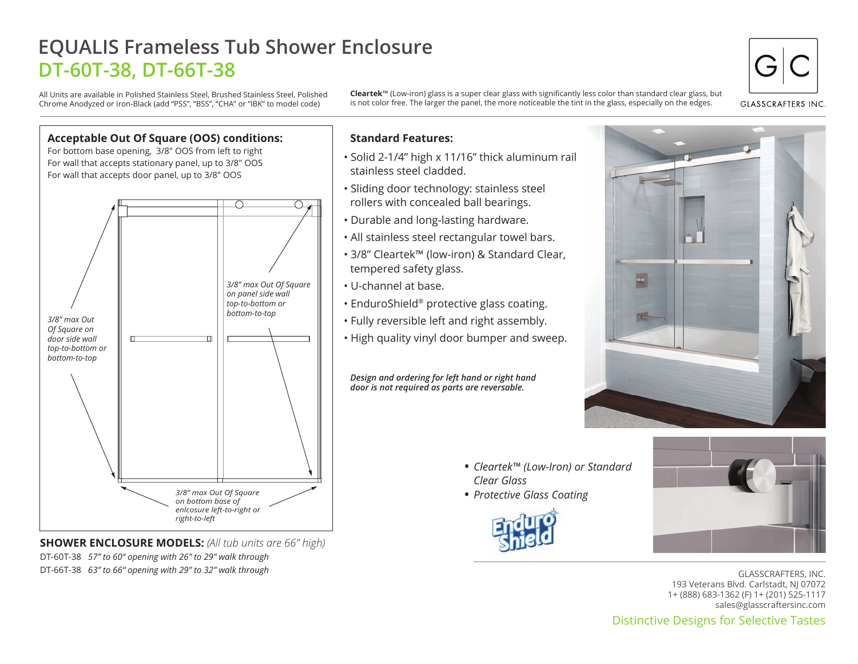# **EQUALIS Frameless Tub Shower Enclosure DT-60T-38, DT-66T-38**

All Units are available in Polished Stainless Steel, Brushed Stainless Steel, Polished Chrome Anodyzed or Iron-Black (add "PSS", "BSS", "CHA" or "IBK" to model code)

**Cleartek**™ (Low-iron) glass is a super clear glass with significantly less color than standard clear glass, but is not color free. The larger the panel, the more noticeable the tint in the glass, especially on the edges.

**GLASSCRAFTERS INC** 



**SHOWER ENCLOSURE MODELS:** *(All tub units are 66" high)* DT-60T-38 *57" to 60" opening with 26" to 29" walk through* DT-66T-38 *63" to 66" opening with 29" to 32" walk through*

## **Standard Features:**

- Solid 2-1/4" high x 11/16" thick aluminum rail stainless steel cladded.
- Sliding door technology: stainless steel rollers with concealed ball bearings.
- Durable and long-lasting hardware.
- All stainless steel rectangular towel bars.
- 3/8" Cleartek™ (low-iron) & Standard Clear, tempered safety glass.
- U-channel at base.
- EnduroShield® protective glass coating.
- Fully reversible left and right assembly.
- High quality vinyl door bumper and sweep.

*Design and ordering for left hand or right hand door is not required as parts are reversable.*



- *Cleartek™ (Low-Iron) or Standard Clear Glass*
- *Protective Glass Coating* •





GLASSCRAFTERS, INC. 193 Veterans Blvd. Carlstadt, NJ 07072 1+ (888) 683-1362 (F) 1+ (201) 525-1117 sales@glasscraftersinc.com

Distinctive Designs for Selective Tastes